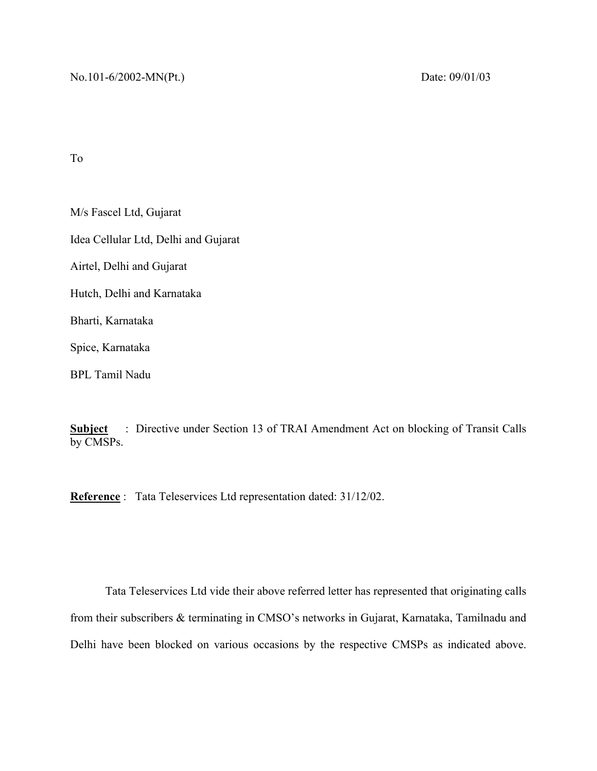To

M/s Fascel Ltd, Gujarat Idea Cellular Ltd, Delhi and Gujarat Airtel, Delhi and Gujarat Hutch, Delhi and Karnataka Bharti, Karnataka Spice, Karnataka BPL Tamil Nadu

**Subject** : Directive under Section 13 of TRAI Amendment Act on blocking of Transit Calls by CMSPs.

**Reference** : Tata Teleservices Ltd representation dated: 31/12/02.

 Tata Teleservices Ltd vide their above referred letter has represented that originating calls from their subscribers & terminating in CMSO's networks in Gujarat, Karnataka, Tamilnadu and Delhi have been blocked on various occasions by the respective CMSPs as indicated above.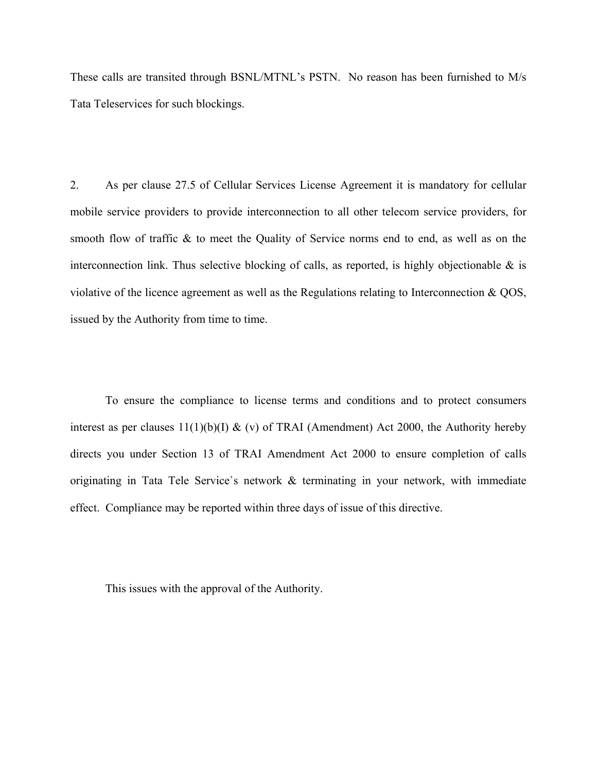These calls are transited through BSNL/MTNL's PSTN. No reason has been furnished to M/s Tata Teleservices for such blockings.

2. As per clause 27.5 of Cellular Services License Agreement it is mandatory for cellular mobile service providers to provide interconnection to all other telecom service providers, for smooth flow of traffic & to meet the Quality of Service norms end to end, as well as on the interconnection link. Thus selective blocking of calls, as reported, is highly objectionable  $\&$  is violative of the licence agreement as well as the Regulations relating to Interconnection & QOS, issued by the Authority from time to time.

 To ensure the compliance to license terms and conditions and to protect consumers interest as per clauses  $11(1)(b)(I) \& (v)$  of TRAI (Amendment) Act 2000, the Authority hereby directs you under Section 13 of TRAI Amendment Act 2000 to ensure completion of calls originating in Tata Tele Service`s network & terminating in your network, with immediate effect. Compliance may be reported within three days of issue of this directive.

This issues with the approval of the Authority.